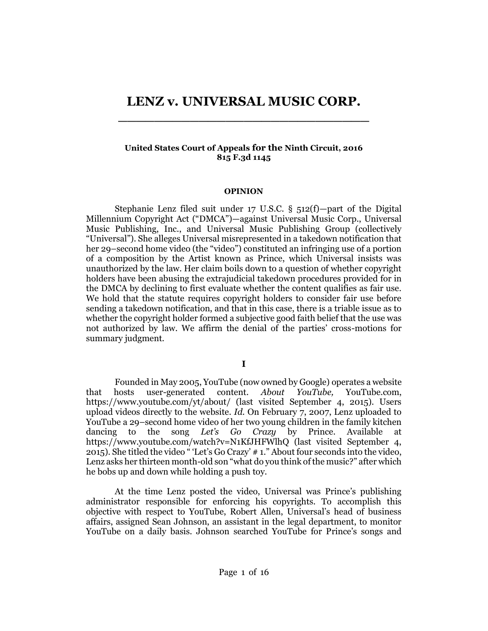# **LENZ v. UNIVERSAL MUSIC CORP. \_\_\_\_\_\_\_\_\_\_\_\_\_\_\_\_\_\_\_\_\_\_\_\_\_\_\_\_**

## **United States Court of Appeals for the Ninth Circuit, 2016 815 F.3d 1145**

#### **OPINION**

Stephanie Lenz filed suit under 17 U.S.C. § 512(f)—part of the Digital Millennium Copyright Act ("DMCA")—against Universal Music Corp., Universal Music Publishing, Inc., and Universal Music Publishing Group (collectively "Universal"). She alleges Universal misrepresented in a takedown notification that her 29–second home video (the "video") constituted an infringing use of a portion of a composition by the Artist known as Prince, which Universal insists was unauthorized by the law. Her claim boils down to a question of whether copyright holders have been abusing the extrajudicial takedown procedures provided for in the DMCA by declining to first evaluate whether the content qualifies as fair use. We hold that the statute requires copyright holders to consider fair use before sending a takedown notification, and that in this case, there is a triable issue as to whether the copyright holder formed a subjective good faith belief that the use was not authorized by law. We affirm the denial of the parties' cross-motions for summary judgment.

Founded in May 2005, YouTube (now owned by Google) operates a website that hosts user-generated content. *About YouTube,* YouTube.com, https://www.youtube.com/yt/about/ (last visited September 4, 2015). Users upload videos directly to the website. *Id.* On February 7, 2007, Lenz uploaded to YouTube a 29–second home video of her two young children in the family kitchen dancing to the song *Let's Go Crazy* by Prince. Available at https://www.youtube.com/watch?v=N1KfJHFWlhQ (last visited September 4, 2015). She titled the video " 'Let's Go Crazy' # 1." About four seconds into the video, Lenz asks her thirteen month-old son "what do you think of the music?" after which he bobs up and down while holding a push toy.

At the time Lenz posted the video, Universal was Prince's publishing administrator responsible for enforcing his copyrights. To accomplish this objective with respect to YouTube, Robert Allen, Universal's head of business affairs, assigned Sean Johnson, an assistant in the legal department, to monitor YouTube on a daily basis. Johnson searched YouTube for Prince's songs and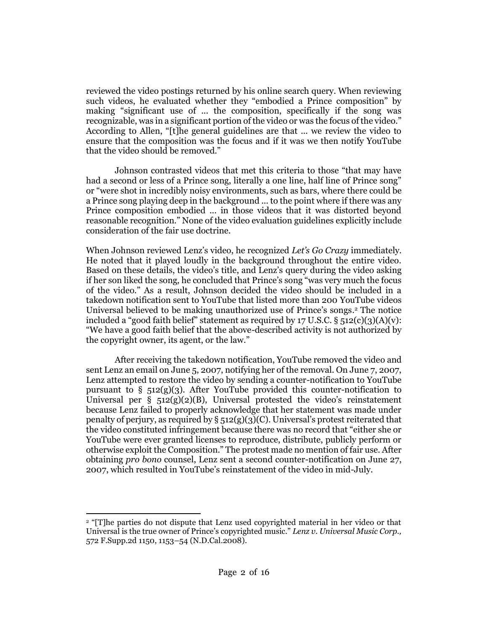reviewed the video postings returned by his online search query. When reviewing such videos, he evaluated whether they "embodied a Prince composition" by making "significant use of ... the composition, specifically if the song was recognizable, was in a significant portion of the video or was the focus of the video." According to Allen, "[t]he general guidelines are that ... we review the video to ensure that the composition was the focus and if it was we then notify YouTube that the video should be removed."

Johnson contrasted videos that met this criteria to those "that may have had a second or less of a Prince song, literally a one line, half line of Prince song" or "were shot in incredibly noisy environments, such as bars, where there could be a Prince song playing deep in the background ... to the point where if there was any Prince composition embodied ... in those videos that it was distorted beyond reasonable recognition." None of the video evaluation guidelines explicitly include consideration of the fair use doctrine.

When Johnson reviewed Lenz's video, he recognized *Let's Go Crazy* immediately. He noted that it played loudly in the background throughout the entire video. Based on these details, the video's title, and Lenz's query during the video asking if her son liked the song, he concluded that Prince's song "was very much the focus of the video." As a result, Johnson decided the video should be included in a takedown notification sent to YouTube that listed more than 200 YouTube videos Universal believed to be making unauthorized use of Prince's songs. <sup>2</sup> The notice included a "good faith belief" statement as required by 17 U.S.C.  $\S$  512(c)(3)(A)(v): "We have a good faith belief that the above-described activity is not authorized by the copyright owner, its agent, or the law."

After receiving the takedown notification, YouTube removed the video and sent Lenz an email on June 5, 2007, notifying her of the removal. On June 7, 2007, Lenz attempted to restore the video by sending a counter-notification to YouTube pursuant to [§ 512\(g\)\(3\).](http://www.westlaw.com/Link/Document/FullText?findType=L&pubNum=1000546&cite=17USCAS512&originatingDoc=Ic3e300705afc11e5a795ac035416da91&refType=RB&originationContext=document&vr=3.0&rs=cblt1.0&transitionType=DocumentItem&contextData=(sc.Search)#co_pp_063e00007c8e4) After YouTube provided this counter-notification to Universal per  $\S$  512(g)(2)(B), Universal protested the video's reinstatement because Lenz failed to properly acknowledge that her statement was made under penalty of perjury, as required by  $\S 512(g)(3)(C)$ . Universal's protest reiterated that the video constituted infringement because there was no record that "either she or YouTube were ever granted licenses to reproduce, distribute, publicly perform or otherwise exploit the Composition." The protest made no mention of fair use. After obtaining *pro bono* counsel, Lenz sent a second counter-notification on June 27, 2007, which resulted in YouTube's reinstatement of the video in mid-July.

<sup>2</sup> "[T]he parties do not dispute that Lenz used copyrighted material in her video or that Universal is the true owner of Prince's copyrighted music." *[Lenz v. Universal Music Corp.,](http://www.westlaw.com/Link/Document/FullText?findType=Y&serNum=2016810920&pubNum=0004637&originatingDoc=Ic3e300705afc11e5a795ac035416da91&refType=RP&fi=co_pp_sp_4637_1153&originationContext=document&vr=3.0&rs=cblt1.0&transitionType=DocumentItem&contextData=(sc.Search)#co_pp_sp_4637_1153)* [572 F.Supp.2d 1150, 1153](http://www.westlaw.com/Link/Document/FullText?findType=Y&serNum=2016810920&pubNum=0004637&originatingDoc=Ic3e300705afc11e5a795ac035416da91&refType=RP&fi=co_pp_sp_4637_1153&originationContext=document&vr=3.0&rs=cblt1.0&transitionType=DocumentItem&contextData=(sc.Search)#co_pp_sp_4637_1153)–54 (N.D.Cal.2008).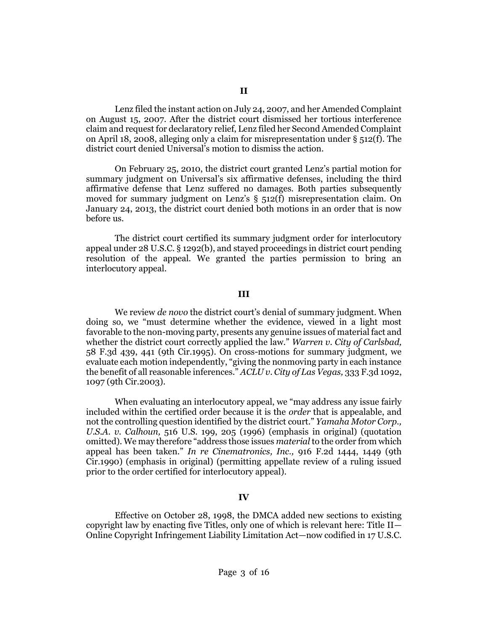Lenz filed the instant action on July 24, 2007, and her Amended Complaint on August 15, 2007. After the district court dismissed her tortious interference claim and request for declaratory relief, Lenz filed her Second Amended Complaint on April 18, 2008, alleging only a claim for misrepresentation under  $\S$  512(f). The district court denied Universal's motion to dismiss the action.

On February 25, 2010, the district court granted Lenz's partial motion for summary judgment on Universal's six affirmative defenses, including the third affirmative defense that Lenz suffered no damages. Both parties subsequently moved for summary judgment on Lenz's [§ 512\(f\)](http://www.westlaw.com/Link/Document/FullText?findType=L&pubNum=1000546&cite=17USCAS512&originatingDoc=Ic3e300705afc11e5a795ac035416da91&refType=RB&originationContext=document&vr=3.0&rs=cblt1.0&transitionType=DocumentItem&contextData=(sc.Search)#co_pp_ae0d0000c5150) misrepresentation claim. On January 24, 2013, the district court denied both motions in an order that is now before us.

The district court certified its summary judgment order for interlocutory appeal unde[r 28 U.S.C. § 1292\(b\),](http://www.westlaw.com/Link/Document/FullText?findType=L&pubNum=1000546&cite=28USCAS1292&originatingDoc=Ic3e300705afc11e5a795ac035416da91&refType=RB&originationContext=document&vr=3.0&rs=cblt1.0&transitionType=DocumentItem&contextData=(sc.Search)#co_pp_a83b000018c76) and stayed proceedings in district court pending resolution of the appeal. We granted the parties permission to bring an interlocutory appeal.

## **III**

We review *de novo* the district court's denial of summary judgment. When doing so, we "must determine whether the evidence, viewed in a light most favorable to the non-moving party, presents any genuine issues of material fact and whether the district court correctly applied the law." *[Warren v. City of Carlsbad,](http://www.westlaw.com/Link/Document/FullText?findType=Y&serNum=1995133456&pubNum=0000506&originatingDoc=Ic3e300705afc11e5a795ac035416da91&refType=RP&fi=co_pp_sp_506_441&originationContext=document&vr=3.0&rs=cblt1.0&transitionType=DocumentItem&contextData=(sc.Search)#co_pp_sp_506_441)* [58 F.3d 439, 441 \(9th Cir.1995\).](http://www.westlaw.com/Link/Document/FullText?findType=Y&serNum=1995133456&pubNum=0000506&originatingDoc=Ic3e300705afc11e5a795ac035416da91&refType=RP&fi=co_pp_sp_506_441&originationContext=document&vr=3.0&rs=cblt1.0&transitionType=DocumentItem&contextData=(sc.Search)#co_pp_sp_506_441) On cross-motions for summary judgment, we evaluate each motion independently, "giving the nonmoving party in each instance the benefit of all reasonable inferences." *[ACLU v. City of Las Vegas,](http://www.westlaw.com/Link/Document/FullText?findType=Y&serNum=2003467218&pubNum=0000506&originatingDoc=Ic3e300705afc11e5a795ac035416da91&refType=RP&fi=co_pp_sp_506_1097&originationContext=document&vr=3.0&rs=cblt1.0&transitionType=DocumentItem&contextData=(sc.Search)#co_pp_sp_506_1097)* 333 F.3d 1092, [1097 \(9th Cir.2003\).](http://www.westlaw.com/Link/Document/FullText?findType=Y&serNum=2003467218&pubNum=0000506&originatingDoc=Ic3e300705afc11e5a795ac035416da91&refType=RP&fi=co_pp_sp_506_1097&originationContext=document&vr=3.0&rs=cblt1.0&transitionType=DocumentItem&contextData=(sc.Search)#co_pp_sp_506_1097)

When evaluating an interlocutory appeal, we "may address any issue fairly included within the certified order because it is the *order* that is appealable, and not the controlling question identified by the district court." *[Yamaha Motor Corp.,](http://www.westlaw.com/Link/Document/FullText?findType=Y&serNum=1996026195&pubNum=0000708&originatingDoc=Ic3e300705afc11e5a795ac035416da91&refType=RP&originationContext=document&vr=3.0&rs=cblt1.0&transitionType=DocumentItem&contextData=(sc.Search))  [U.S.A. v. Calhoun,](http://www.westlaw.com/Link/Document/FullText?findType=Y&serNum=1996026195&pubNum=0000708&originatingDoc=Ic3e300705afc11e5a795ac035416da91&refType=RP&originationContext=document&vr=3.0&rs=cblt1.0&transitionType=DocumentItem&contextData=(sc.Search))* 516 U.S. 199, 205 (1996) (emphasis in original) (quotation omitted). We may therefore "address those issues *material* to the order from which appeal has been taken." *[In re Cinematronics, Inc.,](http://www.westlaw.com/Link/Document/FullText?findType=Y&serNum=1990149901&pubNum=0000350&originatingDoc=Ic3e300705afc11e5a795ac035416da91&refType=RP&fi=co_pp_sp_350_1449&originationContext=document&vr=3.0&rs=cblt1.0&transitionType=DocumentItem&contextData=(sc.Search)#co_pp_sp_350_1449)* 916 F.2d 1444, 1449 (9th [Cir.1990\)](http://www.westlaw.com/Link/Document/FullText?findType=Y&serNum=1990149901&pubNum=0000350&originatingDoc=Ic3e300705afc11e5a795ac035416da91&refType=RP&fi=co_pp_sp_350_1449&originationContext=document&vr=3.0&rs=cblt1.0&transitionType=DocumentItem&contextData=(sc.Search)#co_pp_sp_350_1449) (emphasis in original) (permitting appellate review of a ruling issued prior to the order certified for interlocutory appeal).

## **IV**

Effective on October 28, 1998, the DMCA added new sections to existing copyright law by enacting five Titles, only one of which is relevant here: Title II— Online Copyright Infringement Liability Limitation Act—now codified in [17 U.S.C.](http://www.westlaw.com/Link/Document/FullText?findType=L&pubNum=1000546&cite=17USCAS512&originatingDoc=Ic3e300705afc11e5a795ac035416da91&refType=LQ&originationContext=document&vr=3.0&rs=cblt1.0&transitionType=DocumentItem&contextData=(sc.Search))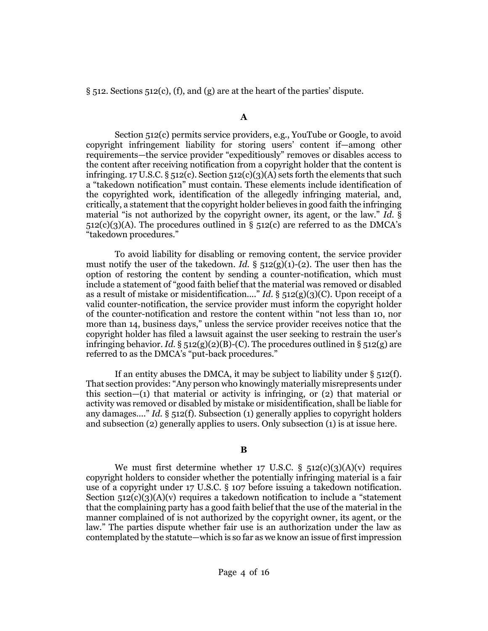$\S$  512. [Sections 512\(c\),](http://www.westlaw.com/Link/Document/FullText?findType=L&pubNum=1000546&cite=17USCAS512&originatingDoc=Ic3e300705afc11e5a795ac035416da91&refType=RB&originationContext=document&vr=3.0&rs=cblt1.0&transitionType=DocumentItem&contextData=(sc.Search)#co_pp_4b24000003ba5) [\(f\),](http://www.westlaw.com/Link/Document/FullText?findType=L&pubNum=1000546&cite=17USCAS512&originatingDoc=Ic3e300705afc11e5a795ac035416da91&refType=RB&originationContext=document&vr=3.0&rs=cblt1.0&transitionType=DocumentItem&contextData=(sc.Search)#co_pp_ae0d0000c5150) and [\(g\)](http://www.westlaw.com/Link/Document/FullText?findType=L&pubNum=1000546&cite=17USCAS512&originatingDoc=Ic3e300705afc11e5a795ac035416da91&refType=RB&originationContext=document&vr=3.0&rs=cblt1.0&transitionType=DocumentItem&contextData=(sc.Search)#co_pp_16f4000091d86) are at the heart of the parties' dispute.

## **A**

[Section 512\(c\)](http://www.westlaw.com/Link/Document/FullText?findType=L&pubNum=1000546&cite=17USCAS512&originatingDoc=Ic3e300705afc11e5a795ac035416da91&refType=RB&originationContext=document&vr=3.0&rs=cblt1.0&transitionType=DocumentItem&contextData=(sc.Search)#co_pp_4b24000003ba5) permits service providers, e.g., YouTube or Google, to avoid copyright infringement liability for storing users' content if—among other requirements—the service provider "expeditiously" removes or disables access to the content after receiving notification from a copyright holder that the content is infringing. 17 U.S.C.  $\S$  512(c). [Section 512\(c\)\(3\)\(A\)](http://www.westlaw.com/Link/Document/FullText?findType=L&pubNum=1000546&cite=17USCAS512&originatingDoc=Ic3e300705afc11e5a795ac035416da91&refType=RB&originationContext=document&vr=3.0&rs=cblt1.0&transitionType=DocumentItem&contextData=(sc.Search)#co_pp_773400008cd46) sets forth the elements that such a "takedown notification" must contain. These elements include identification of the copyrighted work, identification of the allegedly infringing material, and, critically, a statement that the copyright holder believes in good faith the infringing material "is not authorized by the copyright owner, its agent, or the law." *[Id.](http://www.westlaw.com/Link/Document/FullText?findType=L&pubNum=1000546&cite=17USCAS512&originatingDoc=Ic3e300705afc11e5a795ac035416da91&refType=RB&originationContext=document&vr=3.0&rs=cblt1.0&transitionType=DocumentItem&contextData=(sc.Search)#co_pp_773400008cd46)* §  $512(c)(3)(A)$ . The procedures outlined in §  $512(c)$  are referred to as the DMCA's "takedown procedures."

To avoid liability for disabling or removing content, the service provider must notify the user of the takedown. *Id.*  $\S$  512(g)(1)-(2). The user then has the option of restoring the content by sending a counter-notification, which must include a statement of "good faith belief that the material was removed or disabled as a result of mistake or misidentification...." *Id.* [§ 512\(g\)\(3\)\(C\).](http://www.westlaw.com/Link/Document/FullText?findType=L&pubNum=1000546&cite=17USCAS512&originatingDoc=Ic3e300705afc11e5a795ac035416da91&refType=RB&originationContext=document&vr=3.0&rs=cblt1.0&transitionType=DocumentItem&contextData=(sc.Search)#co_pp_4d8d0000bbb15) Upon receipt of a valid counter-notification, the service provider must inform the copyright holder of the counter-notification and restore the content within "not less than 10, nor more than 14, business days," unless the service provider receives notice that the copyright holder has filed a lawsuit against the user seeking to restrain the user's infringing behavior. *Id.*  $\S$  512(g)(2)(B)-(C). The procedures outlined in  $\S$  512(g) are referred to as the DMCA's "put-back procedures."

If an entity abuses the DMCA, it may be subject to liability under  $\S$  512(f). That section provides: "Any person who knowingly materially misrepresents under this section—(1) that material or activity is infringing, or (2) that material or activity was removed or disabled by mistake or misidentification, shall be liable for any damages...." *Id.* [§ 512\(f\).](http://www.westlaw.com/Link/Document/FullText?findType=L&pubNum=1000546&cite=17USCAS512&originatingDoc=Ic3e300705afc11e5a795ac035416da91&refType=RB&originationContext=document&vr=3.0&rs=cblt1.0&transitionType=DocumentItem&contextData=(sc.Search)#co_pp_ae0d0000c5150) Subsection (1) generally applies to copyright holders and subsection (2) generally applies to users. Only subsection (1) is at issue here.

# **B**

We must first determine whether 17 U.S.C.  $\S$  512(c)(3)(A)(v) requires copyright holders to consider whether the potentially infringing material is a fair use of a copyright under [17 U.S.C. § 107](http://www.westlaw.com/Link/Document/FullText?findType=L&pubNum=1000546&cite=17USCAS107&originatingDoc=Ic3e300705afc11e5a795ac035416da91&refType=LQ&originationContext=document&vr=3.0&rs=cblt1.0&transitionType=DocumentItem&contextData=(sc.Search)) before issuing a takedown notification. Section  $512(c)(3)(A)(v)$  requires a takedown notification to include a "statement" that the complaining party has a good faith belief that the use of the material in the manner complained of is not authorized by the copyright owner, its agent, or the law." The parties dispute whether fair use is an authorization under the law as contemplated by the statute—which is so far as we know an issue of first impression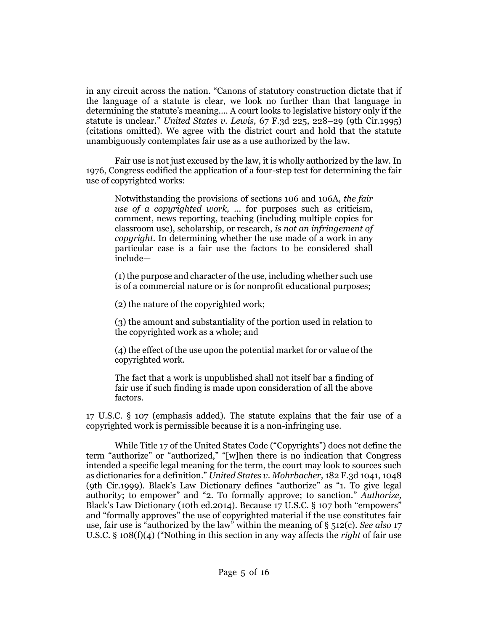in any circuit across the nation. "Canons of statutory construction dictate that if the language of a statute is clear, we look no further than that language in determining the statute's meaning.... A court looks to legislative history only if the statute is unclear." *[United States v. Lewis,](http://www.westlaw.com/Link/Document/FullText?findType=Y&serNum=1995195254&pubNum=0000506&originatingDoc=Ic3e300705afc11e5a795ac035416da91&refType=RP&fi=co_pp_sp_506_228&originationContext=document&vr=3.0&rs=cblt1.0&transitionType=DocumentItem&contextData=(sc.Search)#co_pp_sp_506_228)* 67 F.3d 225, 228–29 (9th Cir.1995) (citations omitted). We agree with the district court and hold that the statute unambiguously contemplates fair use as a use authorized by the law.

Fair use is not just excused by the law, it is wholly authorized by the law. In 1976, Congress codified the application of a four-step test for determining the fair use of copyrighted works:

Notwithstanding the provisions of sections 106 and 106A, *the fair use of a copyrighted work,* ... for purposes such as criticism, comment, news reporting, teaching (including multiple copies for classroom use), scholarship, or research, *is not an infringement of copyright.* In determining whether the use made of a work in any particular case is a fair use the factors to be considered shall include—

(1) the purpose and character of the use, including whether such use is of a commercial nature or is for nonprofit educational purposes;

(2) the nature of the copyrighted work;

(3) the amount and substantiality of the portion used in relation to the copyrighted work as a whole; and

(4) the effect of the use upon the potential market for or value of the copyrighted work.

The fact that a work is unpublished shall not itself bar a finding of fair use if such finding is made upon consideration of all the above factors.

[17 U.S.C. § 107](http://www.westlaw.com/Link/Document/FullText?findType=L&pubNum=1000546&cite=17USCAS107&originatingDoc=Ic3e300705afc11e5a795ac035416da91&refType=LQ&originationContext=document&vr=3.0&rs=cblt1.0&transitionType=DocumentItem&contextData=(sc.Search)) (emphasis added). The statute explains that the fair use of a copyrighted work is permissible because it is a non-infringing use.

While Title 17 of the United States Code ("Copyrights") does not define the term "authorize" or "authorized," "[w]hen there is no indication that Congress intended a specific legal meaning for the term, the court may look to sources such as dictionaries for a definition." *[United States v. Mohrbacher,](http://www.westlaw.com/Link/Document/FullText?findType=Y&serNum=1999153255&pubNum=0000506&originatingDoc=Ic3e300705afc11e5a795ac035416da91&refType=RP&fi=co_pp_sp_506_1048&originationContext=document&vr=3.0&rs=cblt1.0&transitionType=DocumentItem&contextData=(sc.Search)#co_pp_sp_506_1048)* 182 F.3d 1041, 1048 [\(9th Cir.1999\)](http://www.westlaw.com/Link/Document/FullText?findType=Y&serNum=1999153255&pubNum=0000506&originatingDoc=Ic3e300705afc11e5a795ac035416da91&refType=RP&fi=co_pp_sp_506_1048&originationContext=document&vr=3.0&rs=cblt1.0&transitionType=DocumentItem&contextData=(sc.Search)#co_pp_sp_506_1048). Black's Law Dictionary defines "authorize" as "1. To give legal authority; to empower" and "2. To formally approve; to sanction." *Authorize,* Black's Law Dictionary (10th ed.2014). Because [17 U.S.C. § 107](http://www.westlaw.com/Link/Document/FullText?findType=L&pubNum=1000546&cite=17USCAS107&originatingDoc=Ic3e300705afc11e5a795ac035416da91&refType=LQ&originationContext=document&vr=3.0&rs=cblt1.0&transitionType=DocumentItem&contextData=(sc.Search)) both "empowers" and "formally approves" the use of copyrighted material if the use constitutes fair use, fair use is "authorized by the law" within the meaning of [§ 512\(c\).](http://www.westlaw.com/Link/Document/FullText?findType=L&pubNum=1000546&cite=17USCAS512&originatingDoc=Ic3e300705afc11e5a795ac035416da91&refType=RB&originationContext=document&vr=3.0&rs=cblt1.0&transitionType=DocumentItem&contextData=(sc.Search)#co_pp_4b24000003ba5) *See also* [17](http://www.westlaw.com/Link/Document/FullText?findType=L&pubNum=1000546&cite=17USCAS108&originatingDoc=Ic3e300705afc11e5a795ac035416da91&refType=RB&originationContext=document&vr=3.0&rs=cblt1.0&transitionType=DocumentItem&contextData=(sc.Search)#co_pp_1d64000049d86)  [U.S.C. § 108\(f\)\(4\)](http://www.westlaw.com/Link/Document/FullText?findType=L&pubNum=1000546&cite=17USCAS108&originatingDoc=Ic3e300705afc11e5a795ac035416da91&refType=RB&originationContext=document&vr=3.0&rs=cblt1.0&transitionType=DocumentItem&contextData=(sc.Search)#co_pp_1d64000049d86) ("Nothing in this section in any way affects the *right* of fair use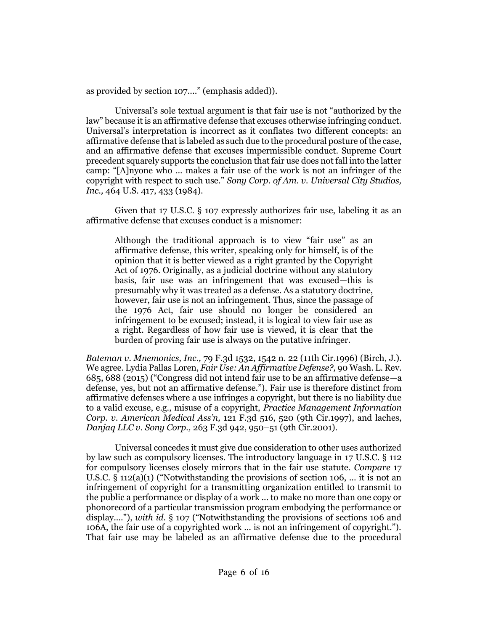as provided by [section 107](http://www.westlaw.com/Link/Document/FullText?findType=L&pubNum=1000546&cite=17USCAS107&originatingDoc=Ic3e300705afc11e5a795ac035416da91&refType=LQ&originationContext=document&vr=3.0&rs=cblt1.0&transitionType=DocumentItem&contextData=(sc.Search))...." (emphasis added)).

Universal's sole textual argument is that fair use is not "authorized by the law" because it is an affirmative defense that excuses otherwise infringing conduct. Universal's interpretation is incorrect as it conflates two different concepts: an affirmative defense that is labeled as such due to the procedural posture of the case, and an affirmative defense that excuses impermissible conduct. Supreme Court precedent squarely supports the conclusion that fair use does not fall into the latter camp: "[A]nyone who ... makes a fair use of the work is not an infringer of the copyright with respect to such use." *[Sony Corp. of Am. v. Universal City Studios,](http://www.westlaw.com/Link/Document/FullText?findType=Y&serNum=1984103021&pubNum=0000708&originatingDoc=Ic3e300705afc11e5a795ac035416da91&refType=RP&originationContext=document&vr=3.0&rs=cblt1.0&transitionType=DocumentItem&contextData=(sc.Search))  Inc.,* [464 U.S. 417, 433](http://www.westlaw.com/Link/Document/FullText?findType=Y&serNum=1984103021&pubNum=0000708&originatingDoc=Ic3e300705afc11e5a795ac035416da91&refType=RP&originationContext=document&vr=3.0&rs=cblt1.0&transitionType=DocumentItem&contextData=(sc.Search)) (1984).

Given that [17 U.S.C. § 107](http://www.westlaw.com/Link/Document/FullText?findType=L&pubNum=1000546&cite=17USCAS107&originatingDoc=Ic3e300705afc11e5a795ac035416da91&refType=LQ&originationContext=document&vr=3.0&rs=cblt1.0&transitionType=DocumentItem&contextData=(sc.Search)) expressly authorizes fair use, labeling it as an affirmative defense that excuses conduct is a misnomer:

Although the traditional approach is to view "fair use" as an affirmative defense, this writer, speaking only for himself, is of the opinion that it is better viewed as a right granted by the Copyright Act of 1976. Originally, as a judicial doctrine without any statutory basis, fair use was an infringement that was excused—this is presumably why it was treated as a defense. As a statutory doctrine, however, fair use is not an infringement. Thus, since the passage of the 1976 Act, fair use should no longer be considered an infringement to be excused; instead, it is logical to view fair use as a right. Regardless of how fair use is viewed, it is clear that the burden of proving fair use is always on the putative infringer.

*Bateman v. Mnemonics, Inc.,* [79 F.3d 1532, 1542 n. 22 \(11th Cir.1996\)](http://www.westlaw.com/Link/Document/FullText?findType=Y&serNum=1996076150&pubNum=0000506&originatingDoc=Ie2f62617ec9611e5b86bd602cb8781fa&refType=RP&fi=co_pp_sp_506_1542&originationContext=document&vr=3.0&rs=cblt1.0&transitionType=DocumentItem&contextData=(sc.Search)#co_pp_sp_506_1542) (Birch, J.). We agree. Lydia Pallas Loren, *[Fair Use: An Affirmative Defense?,](http://www.westlaw.com/Link/Document/FullText?findType=Y&serNum=0431672827&pubNum=0001281&originatingDoc=Ie2f62617ec9611e5b86bd602cb8781fa&refType=LR&fi=co_pp_sp_1281_688&originationContext=document&vr=3.0&rs=cblt1.0&transitionType=DocumentItem&contextData=(sc.Search)#co_pp_sp_1281_688)* 90 Wash. L. Rev. [685, 688 \(2015\)](http://www.westlaw.com/Link/Document/FullText?findType=Y&serNum=0431672827&pubNum=0001281&originatingDoc=Ie2f62617ec9611e5b86bd602cb8781fa&refType=LR&fi=co_pp_sp_1281_688&originationContext=document&vr=3.0&rs=cblt1.0&transitionType=DocumentItem&contextData=(sc.Search)#co_pp_sp_1281_688) ("Congress did not intend fair use to be an affirmative defense—a defense, yes, but not an affirmative defense."). Fair use is therefore distinct from affirmative defenses where a use infringes a copyright, but there is no liability due to a valid excuse, e.g., misuse of a copyright, *[Practice Management Information](http://www.westlaw.com/Link/Document/FullText?findType=Y&serNum=1997165253&pubNum=0000506&originatingDoc=Ic3e300705afc11e5a795ac035416da91&refType=RP&fi=co_pp_sp_506_520&originationContext=document&vr=3.0&rs=cblt1.0&transitionType=DocumentItem&contextData=(sc.Search)#co_pp_sp_506_520)  Corp. v. American Medical Ass'n,* [121 F.3d 516, 520 \(9th Cir.1997\),](http://www.westlaw.com/Link/Document/FullText?findType=Y&serNum=1997165253&pubNum=0000506&originatingDoc=Ic3e300705afc11e5a795ac035416da91&refType=RP&fi=co_pp_sp_506_520&originationContext=document&vr=3.0&rs=cblt1.0&transitionType=DocumentItem&contextData=(sc.Search)#co_pp_sp_506_520) and laches, *Danjaq LLC v. Sony Corp.,* 263 F.3d 942, 950–51 (9th Cir.2001).

Universal concedes it must give due consideration to other uses authorized by law such as compulsory licenses. The introductory language in [17 U.S.C. § 112](http://www.westlaw.com/Link/Document/FullText?findType=L&pubNum=1000546&cite=17USCAS112&originatingDoc=Ic3e300705afc11e5a795ac035416da91&refType=LQ&originationContext=document&vr=3.0&rs=cblt1.0&transitionType=DocumentItem&contextData=(sc.Search)) for compulsory licenses closely mirrors that in the fair use statute. *Compare* [17](http://www.westlaw.com/Link/Document/FullText?findType=L&pubNum=1000546&cite=17USCAS112&originatingDoc=Ic3e300705afc11e5a795ac035416da91&refType=RB&originationContext=document&vr=3.0&rs=cblt1.0&transitionType=DocumentItem&contextData=(sc.Search)#co_pp_7b9b000044381)  [U.S.C. § 112\(a\)\(1\)](http://www.westlaw.com/Link/Document/FullText?findType=L&pubNum=1000546&cite=17USCAS112&originatingDoc=Ic3e300705afc11e5a795ac035416da91&refType=RB&originationContext=document&vr=3.0&rs=cblt1.0&transitionType=DocumentItem&contextData=(sc.Search)#co_pp_7b9b000044381) ("Notwithstanding the provisions of section 106, ... it is not an infringement of copyright for a transmitting organization entitled to transmit to the public a performance or display of a work ... to make no more than one copy or phonorecord of a particular transmission program embodying the performance or display...."), *with id.* [§ 107](http://www.westlaw.com/Link/Document/FullText?findType=L&pubNum=1000546&cite=17USCAS107&originatingDoc=Ic3e300705afc11e5a795ac035416da91&refType=LQ&originationContext=document&vr=3.0&rs=cblt1.0&transitionType=DocumentItem&contextData=(sc.Search)) ("Notwithstanding the provisions of sections 106 and 106A, the fair use of a copyrighted work ... is not an infringement of copyright."). That fair use may be labeled as an affirmative defense due to the procedural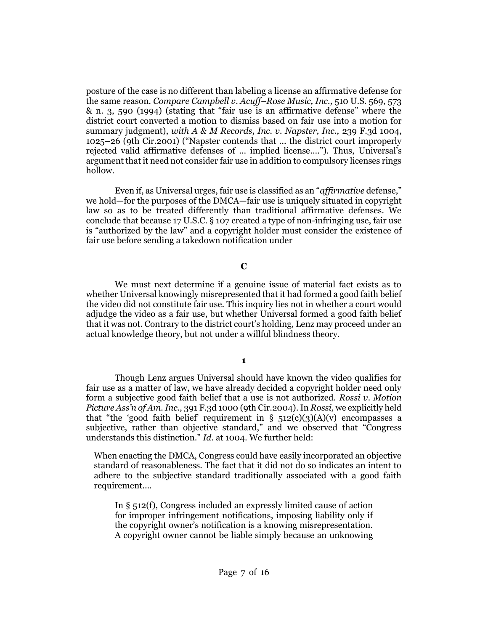posture of the case is no different than labeling a license an affirmative defense for the same reason. *Compare [Campbell v. Acuff](http://www.westlaw.com/Link/Document/FullText?findType=Y&serNum=1994058334&pubNum=0000708&originatingDoc=Ic3e300705afc11e5a795ac035416da91&refType=RP&originationContext=document&vr=3.0&rs=cblt1.0&transitionType=DocumentItem&contextData=(sc.Search))–Rose Music, Inc.,* 510 U.S. 569, 573 [& n. 3, 590](http://www.westlaw.com/Link/Document/FullText?findType=Y&serNum=1994058334&pubNum=0000708&originatingDoc=Ic3e300705afc11e5a795ac035416da91&refType=RP&originationContext=document&vr=3.0&rs=cblt1.0&transitionType=DocumentItem&contextData=(sc.Search)) (1994) (stating that "fair use is an affirmative defense" where the district court converted a motion to dismiss based on fair use into a motion for summary judgment), *with [A & M Records, Inc. v. Napster, Inc.,](http://www.westlaw.com/Link/Document/FullText?findType=Y&serNum=2001141036&pubNum=0000506&originatingDoc=Ic3e300705afc11e5a795ac035416da91&refType=RP&fi=co_pp_sp_506_1025&originationContext=document&vr=3.0&rs=cblt1.0&transitionType=DocumentItem&contextData=(sc.Search)#co_pp_sp_506_1025)* 239 F.3d 1004, 1025–[26 \(9th Cir.2001\)](http://www.westlaw.com/Link/Document/FullText?findType=Y&serNum=2001141036&pubNum=0000506&originatingDoc=Ic3e300705afc11e5a795ac035416da91&refType=RP&fi=co_pp_sp_506_1025&originationContext=document&vr=3.0&rs=cblt1.0&transitionType=DocumentItem&contextData=(sc.Search)#co_pp_sp_506_1025) ("Napster contends that ... the district court improperly rejected valid affirmative defenses of ... implied license...."). Thus, Universal's argument that it need not consider fair use in addition to compulsory licenses rings hollow.

Even if, as Universal urges, fair use is classified as an "*affirmative* defense," we hold—for the purposes of the DMCA—fair use is uniquely situated in copyright law so as to be treated differently than traditional affirmative defenses. We conclude that because [17 U.S.C. § 107](http://www.westlaw.com/Link/Document/FullText?findType=L&pubNum=1000546&cite=17USCAS107&originatingDoc=Ic3e300705afc11e5a795ac035416da91&refType=LQ&originationContext=document&vr=3.0&rs=cblt1.0&transitionType=DocumentItem&contextData=(sc.Search)) created a type of non-infringing use, fair use is "authorized by the law" and a copyright holder must consider the existence of fair use before sending a takedown notification under

## **C**

We must next determine if a genuine issue of material fact exists as to whether Universal knowingly misrepresented that it had formed a good faith belief the video did not constitute fair use. This inquiry lies not in whether a court would adjudge the video as a fair use, but whether Universal formed a good faith belief that it was not. Contrary to the district court's holding, Lenz may proceed under an actual knowledge theory, but not under a willful blindness theory.

## **1**

Though Lenz argues Universal should have known the video qualifies for fair use as a matter of law, we have already decided a copyright holder need only form a subjective good faith belief that a use is not authorized. *[Rossi v. Motion](http://www.westlaw.com/Link/Document/FullText?findType=Y&serNum=2005639666&pubNum=0000506&originatingDoc=Ic3e300705afc11e5a795ac035416da91&refType=RP&originationContext=document&vr=3.0&rs=cblt1.0&transitionType=DocumentItem&contextData=(sc.Search))  Picture Ass'n of Am. Inc.,* [391 F.3d 1000 \(9th Cir.2004\).](http://www.westlaw.com/Link/Document/FullText?findType=Y&serNum=2005639666&pubNum=0000506&originatingDoc=Ic3e300705afc11e5a795ac035416da91&refType=RP&originationContext=document&vr=3.0&rs=cblt1.0&transitionType=DocumentItem&contextData=(sc.Search)) In *Rossi,* we explicitly held that "the 'good faith belief' requirement in  $\S$  512(c)(3)(A)(v) encompasses a subjective, rather than objective standard," and we observed that "Congress understands this distinction." *Id.* [at 1004.](http://www.westlaw.com/Link/Document/FullText?findType=Y&serNum=2005639666&pubNum=0000506&originatingDoc=Ie2f62617ec9611e5b86bd602cb8781fa&refType=RP&fi=co_pp_sp_506_1004&originationContext=document&vr=3.0&rs=cblt1.0&transitionType=DocumentItem&contextData=(sc.Search)#co_pp_sp_506_1004) We further held:

When enacting the DMCA, Congress could have easily incorporated an objective standard of reasonableness. The fact that it did not do so indicates an intent to adhere to the subjective standard traditionally associated with a good faith requirement....

In [§ 512\(f\),](http://www.westlaw.com/Link/Document/FullText?findType=L&pubNum=1000546&cite=17USCAS512&originatingDoc=Ie2f62617ec9611e5b86bd602cb8781fa&refType=RB&originationContext=document&vr=3.0&rs=cblt1.0&transitionType=DocumentItem&contextData=(sc.Search)#co_pp_ae0d0000c5150) Congress included an expressly limited cause of action for improper infringement notifications, imposing liability only if the copyright owner's notification is a knowing misrepresentation. A copyright owner cannot be liable simply because an unknowing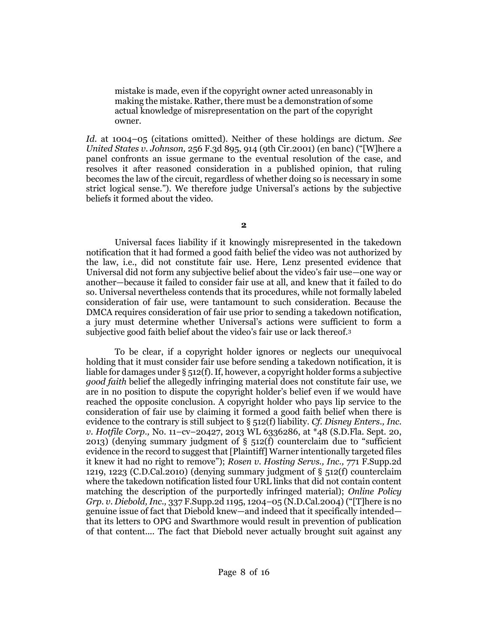mistake is made, even if the copyright owner acted unreasonably in making the mistake. Rather, there must be a demonstration of some actual knowledge of misrepresentation on the part of the copyright owner.

*Id.* [at 1004](http://www.westlaw.com/Link/Document/FullText?findType=Y&serNum=2005639666&pubNum=0000506&originatingDoc=Ic3e300705afc11e5a795ac035416da91&refType=RP&fi=co_pp_sp_506_1004&originationContext=document&vr=3.0&rs=cblt1.0&transitionType=DocumentItem&contextData=(sc.Search)#co_pp_sp_506_1004)–05 (citations omitted). Neither of these holdings are dictum. *See United States v. Johnson,* [256 F.3d 895, 914 \(9th Cir.2001\)](http://www.westlaw.com/Link/Document/FullText?findType=Y&serNum=2001617306&pubNum=0000506&originatingDoc=Ic3e300705afc11e5a795ac035416da91&refType=RP&fi=co_pp_sp_506_914&originationContext=document&vr=3.0&rs=cblt1.0&transitionType=DocumentItem&contextData=(sc.Search)#co_pp_sp_506_914) (en banc) ("[W]here a panel confronts an issue germane to the eventual resolution of the case, and resolves it after reasoned consideration in a published opinion, that ruling becomes the law of the circuit, regardless of whether doing so is necessary in some strict logical sense."). We therefore judge Universal's actions by the subjective beliefs it formed about the video.

**2**

Universal faces liability if it knowingly misrepresented in the takedown notification that it had formed a good faith belief the video was not authorized by the law, i.e., did not constitute fair use. Here, Lenz presented evidence that Universal did not form any subjective belief about the video's fair use—one way or another—because it failed to consider fair use at all, and knew that it failed to do so. Universal nevertheless contends that its procedures, while not formally labeled consideration of fair use, were tantamount to such consideration. Because the DMCA requires consideration of fair use prior to sending a takedown notification, a jury must determine whether Universal's actions were sufficient to form a subjective good faith belief about the video's fair use or lack thereof[.](#page-14-0)<sup>3</sup>

To be clear, if a copyright holder ignores or neglects our unequivocal holding that it must consider fair use before sending a takedown notification, it is liable for damages under  $\S$  512(f). If, however, a copyright holder forms a subjective *good faith* belief the allegedly infringing material does not constitute fair use, we are in no position to dispute the copyright holder's belief even if we would have reached the opposite conclusion. A copyright holder who pays lip service to the consideration of fair use by claiming it formed a good faith belief when there is evidence to the contrary is still subject to [§ 512\(f\)](http://www.westlaw.com/Link/Document/FullText?findType=L&pubNum=1000546&cite=17USCAS512&originatingDoc=Ic3e300705afc11e5a795ac035416da91&refType=RB&originationContext=document&vr=3.0&rs=cblt1.0&transitionType=DocumentItem&contextData=(sc.Search)#co_pp_ae0d0000c5150) liability. *Cf. [Disney Enters., Inc.](http://www.westlaw.com/Link/Document/FullText?findType=Y&serNum=2032227103&pubNum=0000999&originatingDoc=Ic3e300705afc11e5a795ac035416da91&refType=RP&originationContext=document&vr=3.0&rs=cblt1.0&transitionType=DocumentItem&contextData=(sc.Search))  v. Hotfile Corp.,* No. 11–cv–[20427, 2013 WL 6336286, at \\*48 \(S.D.Fla. Sept. 20,](http://www.westlaw.com/Link/Document/FullText?findType=Y&serNum=2032227103&pubNum=0000999&originatingDoc=Ic3e300705afc11e5a795ac035416da91&refType=RP&originationContext=document&vr=3.0&rs=cblt1.0&transitionType=DocumentItem&contextData=(sc.Search))  [2013\)](http://www.westlaw.com/Link/Document/FullText?findType=Y&serNum=2032227103&pubNum=0000999&originatingDoc=Ic3e300705afc11e5a795ac035416da91&refType=RP&originationContext=document&vr=3.0&rs=cblt1.0&transitionType=DocumentItem&contextData=(sc.Search)) (denying summary judgment of [§ 512\(f\)](http://www.westlaw.com/Link/Document/FullText?findType=L&pubNum=1000546&cite=17USCAS512&originatingDoc=Ic3e300705afc11e5a795ac035416da91&refType=RB&originationContext=document&vr=3.0&rs=cblt1.0&transitionType=DocumentItem&contextData=(sc.Search)#co_pp_ae0d0000c5150) counterclaim due to "sufficient evidence in the record to suggest that [Plaintiff] Warner intentionally targeted files it knew it had no right to remove"); *[Rosen v. Hosting Servs., Inc.,](http://www.westlaw.com/Link/Document/FullText?findType=Y&serNum=2024463006&pubNum=0004637&originatingDoc=Ic3e300705afc11e5a795ac035416da91&refType=RP&fi=co_pp_sp_4637_1223&originationContext=document&vr=3.0&rs=cblt1.0&transitionType=DocumentItem&contextData=(sc.Search)#co_pp_sp_4637_1223)* 771 F.Supp.2d [1219, 1223 \(C.D.Cal.2010\)](http://www.westlaw.com/Link/Document/FullText?findType=Y&serNum=2024463006&pubNum=0004637&originatingDoc=Ic3e300705afc11e5a795ac035416da91&refType=RP&fi=co_pp_sp_4637_1223&originationContext=document&vr=3.0&rs=cblt1.0&transitionType=DocumentItem&contextData=(sc.Search)#co_pp_sp_4637_1223) (denying summary judgment of [§ 512\(f\)](http://www.westlaw.com/Link/Document/FullText?findType=L&pubNum=1000546&cite=17USCAS512&originatingDoc=Ic3e300705afc11e5a795ac035416da91&refType=RB&originationContext=document&vr=3.0&rs=cblt1.0&transitionType=DocumentItem&contextData=(sc.Search)#co_pp_ae0d0000c5150) counterclaim where the takedown notification listed four URL links that did not contain content matching the description of the purportedly infringed material); *[Online Policy](http://www.westlaw.com/Link/Document/FullText?findType=Y&serNum=2005213963&pubNum=0004637&originatingDoc=Ic3e300705afc11e5a795ac035416da91&refType=RP&fi=co_pp_sp_4637_1204&originationContext=document&vr=3.0&rs=cblt1.0&transitionType=DocumentItem&contextData=(sc.Search)#co_pp_sp_4637_1204)  Grp. v. Diebold, Inc.,* [337 F.Supp.2d 1195, 1204](http://www.westlaw.com/Link/Document/FullText?findType=Y&serNum=2005213963&pubNum=0004637&originatingDoc=Ic3e300705afc11e5a795ac035416da91&refType=RP&fi=co_pp_sp_4637_1204&originationContext=document&vr=3.0&rs=cblt1.0&transitionType=DocumentItem&contextData=(sc.Search)#co_pp_sp_4637_1204)–05 (N.D.Cal.2004) ("[T]here is no genuine issue of fact that Diebold knew—and indeed that it specifically intended that its letters to OPG and Swarthmore would result in prevention of publication of that content.... The fact that Diebold never actually brought suit against any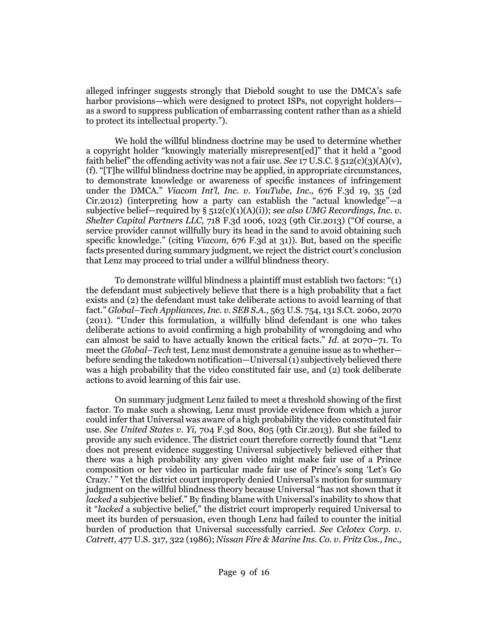alleged infringer suggests strongly that Diebold sought to use the DMCA's safe harbor provisions—which were designed to protect ISPs, not copyright holders as a sword to suppress publication of embarrassing content rather than as a shield to protect its intellectual property.").

We hold the willful blindness doctrine may be used to determine whether a copyright holder "knowingly materially misrepresent[ed]" that it held a "good faith belief" the offending activity was not a fair use. *See* 17 U.S.C.  $\S$  512(c)(3)(A)(v), [\(f\).](http://www.westlaw.com/Link/Document/FullText?findType=L&pubNum=1000546&cite=17USCAS512&originatingDoc=Ic3e300705afc11e5a795ac035416da91&refType=RB&originationContext=document&vr=3.0&rs=cblt1.0&transitionType=DocumentItem&contextData=(sc.Search)#co_pp_ae0d0000c5150) "[T]he willful blindness doctrine may be applied, in appropriate circumstances, to demonstrate knowledge or awareness of specific instances of infringement under the DMCA." *[Viacom Int'l, Inc. v. YouTube, Inc.,](http://www.westlaw.com/Link/Document/FullText?findType=Y&serNum=2027451565&pubNum=0000506&originatingDoc=Ic3e300705afc11e5a795ac035416da91&refType=RP&fi=co_pp_sp_506_35&originationContext=document&vr=3.0&rs=cblt1.0&transitionType=DocumentItem&contextData=(sc.Search)#co_pp_sp_506_35)* 676 F.3d 19, 35 (2d [Cir.2012\)](http://www.westlaw.com/Link/Document/FullText?findType=Y&serNum=2027451565&pubNum=0000506&originatingDoc=Ic3e300705afc11e5a795ac035416da91&refType=RP&fi=co_pp_sp_506_35&originationContext=document&vr=3.0&rs=cblt1.0&transitionType=DocumentItem&contextData=(sc.Search)#co_pp_sp_506_35) (interpreting how a party can establish the "actual knowledge"—a subjective belief—required by [§ 512\(c\)\(1\)\(A\)\(i\)\)](http://www.westlaw.com/Link/Document/FullText?findType=L&pubNum=1000546&cite=17USCAS512&originatingDoc=Ie2f62617ec9611e5b86bd602cb8781fa&refType=RB&originationContext=document&vr=3.0&rs=cblt1.0&transitionType=DocumentItem&contextData=(sc.Search)#co_pp_0e2d000037492); *see also [UMG Recordings, Inc. v.](http://www.westlaw.com/Link/Document/FullText?findType=Y&serNum=2030152231&pubNum=0000506&originatingDoc=Ie2f62617ec9611e5b86bd602cb8781fa&refType=RP&fi=co_pp_sp_506_1023&originationContext=document&vr=3.0&rs=cblt1.0&transitionType=DocumentItem&contextData=(sc.Search)#co_pp_sp_506_1023)  Shelter Capital Partners LLC,* [718 F.3d 1006, 1023 \(9th Cir.2013\)](http://www.westlaw.com/Link/Document/FullText?findType=Y&serNum=2030152231&pubNum=0000506&originatingDoc=Ie2f62617ec9611e5b86bd602cb8781fa&refType=RP&fi=co_pp_sp_506_1023&originationContext=document&vr=3.0&rs=cblt1.0&transitionType=DocumentItem&contextData=(sc.Search)#co_pp_sp_506_1023) ("Of course, a service provider cannot willfully bury its head in the sand to avoid obtaining such specific knowledge." (citing *Viacom,* [676 F.3d at 31\)](http://www.westlaw.com/Link/Document/FullText?findType=Y&serNum=2027451565&pubNum=0000506&originatingDoc=Ic3e300705afc11e5a795ac035416da91&refType=RP&fi=co_pp_sp_506_31&originationContext=document&vr=3.0&rs=cblt1.0&transitionType=DocumentItem&contextData=(sc.Search)#co_pp_sp_506_31)). But, based on the specific facts presented during summary judgment, we reject the district court's conclusion that Lenz may proceed to trial under a willful blindness theory.

To demonstrate willful blindness a plaintiff must establish two factors: "(1) the defendant must subjectively believe that there is a high probability that a fact exists and (2) the defendant must take deliberate actions to avoid learning of that fact." *Global–Tech Appliances, Inc. v. SEB S.A.,* [563 U.S. 754, 131 S.Ct. 2060, 2070](http://www.westlaw.com/Link/Document/FullText?findType=Y&serNum=2025376454&pubNum=0000708&originatingDoc=Ic3e300705afc11e5a795ac035416da91&refType=RP&fi=co_pp_sp_708_2070&originationContext=document&vr=3.0&rs=cblt1.0&transitionType=DocumentItem&contextData=(sc.Search)#co_pp_sp_708_2070)  [\(2011\).](http://www.westlaw.com/Link/Document/FullText?findType=Y&serNum=2025376454&pubNum=0000708&originatingDoc=Ic3e300705afc11e5a795ac035416da91&refType=RP&fi=co_pp_sp_708_2070&originationContext=document&vr=3.0&rs=cblt1.0&transitionType=DocumentItem&contextData=(sc.Search)#co_pp_sp_708_2070) "Under this formulation, a willfully blind defendant is one who takes deliberate actions to avoid confirming a high probability of wrongdoing and who can almost be said to have actually known the critical facts." *Id.* [at 2070](http://www.westlaw.com/Link/Document/FullText?findType=Y&serNum=2025376454&pubNum=0000708&originatingDoc=Ic3e300705afc11e5a795ac035416da91&refType=RP&fi=co_pp_sp_708_2070&originationContext=document&vr=3.0&rs=cblt1.0&transitionType=DocumentItem&contextData=(sc.Search)#co_pp_sp_708_2070)–71. To meet the *Global–Tech* test, Lenz must demonstrate a genuine issue as to whether before sending the takedown notification—Universal (1) subjectively believed there was a high probability that the video constituted fair use, and (2) took deliberate actions to avoid learning of this fair use.

On summary judgment Lenz failed to meet a threshold showing of the first factor. To make such a showing, Lenz must provide evidence from which a juror could infer that Universal was aware of a high probability the video constituted fair use. *See United States v. Yi,* [704 F.3d 800, 805 \(9th Cir.2013\).](http://www.westlaw.com/Link/Document/FullText?findType=Y&serNum=2029549355&pubNum=0000506&originatingDoc=Ic3e300705afc11e5a795ac035416da91&refType=RP&fi=co_pp_sp_506_805&originationContext=document&vr=3.0&rs=cblt1.0&transitionType=DocumentItem&contextData=(sc.Search)#co_pp_sp_506_805) But she failed to provide any such evidence. The district court therefore correctly found that "Lenz does not present evidence suggesting Universal subjectively believed either that there was a high probability any given video might make fair use of a Prince composition or her video in particular made fair use of Prince's song 'Let's Go Crazy.' " Yet the district court improperly denied Universal's motion for summary judgment on the willful blindness theory because Universal "has not shown that it *lacked* a subjective belief." By finding blame with Universal's inability to show that it "*lacked* a subjective belief," the district court improperly required Universal to meet its burden of persuasion, even though Lenz had failed to counter the initial burden of production that Universal successfully carried. *See [Celotex Corp. v.](http://www.westlaw.com/Link/Document/FullText?findType=Y&serNum=1986132677&pubNum=0000708&originatingDoc=Ic3e300705afc11e5a795ac035416da91&refType=RP&originationContext=document&vr=3.0&rs=cblt1.0&transitionType=DocumentItem&contextData=(sc.Search))  Catrett,* [477 U.S. 317, 322 \(1986\);](http://www.westlaw.com/Link/Document/FullText?findType=Y&serNum=1986132677&pubNum=0000708&originatingDoc=Ic3e300705afc11e5a795ac035416da91&refType=RP&originationContext=document&vr=3.0&rs=cblt1.0&transitionType=DocumentItem&contextData=(sc.Search)) *[Nissan Fire & Marine Ins. Co. v. Fritz Cos., Inc.,](http://www.westlaw.com/Link/Document/FullText?findType=Y&serNum=2000111545&pubNum=0000506&originatingDoc=Ic3e300705afc11e5a795ac035416da91&refType=RP&fi=co_pp_sp_506_1102&originationContext=document&vr=3.0&rs=cblt1.0&transitionType=DocumentItem&contextData=(sc.Search)#co_pp_sp_506_1102)*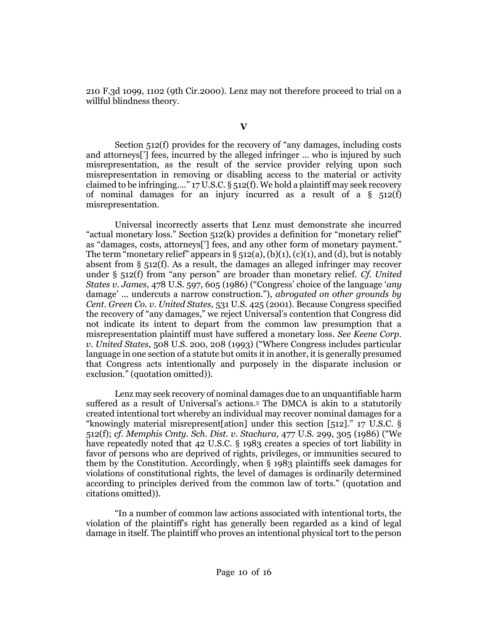[210 F.3d 1099, 1102 \(9th Cir.2000\).](http://www.westlaw.com/Link/Document/FullText?findType=Y&serNum=2000111545&pubNum=0000506&originatingDoc=Ic3e300705afc11e5a795ac035416da91&refType=RP&fi=co_pp_sp_506_1102&originationContext=document&vr=3.0&rs=cblt1.0&transitionType=DocumentItem&contextData=(sc.Search)#co_pp_sp_506_1102) Lenz may not therefore proceed to trial on a willful blindness theory.

**V**

[Section 512\(f\)](http://www.westlaw.com/Link/Document/FullText?findType=L&pubNum=1000546&cite=17USCAS512&originatingDoc=Ic3e300705afc11e5a795ac035416da91&refType=RB&originationContext=document&vr=3.0&rs=cblt1.0&transitionType=DocumentItem&contextData=(sc.Search)#co_pp_ae0d0000c5150) provides for the recovery of "any damages, including costs and attorneys['] fees, incurred by the alleged infringer ... who is injured by such misrepresentation, as the result of the service provider relying upon such misrepresentation in removing or disabling access to the material or activity claimed to be infringing...."  $17 \text{ U.S.C.}$  §  $512 \text{ (f)}$ . We hold a plaintiff may seek recovery of nominal damages for an injury incurred as a result of a  $\S$  512(f) misrepresentation.

Universal incorrectly asserts that Lenz must demonstrate she incurred "actual monetary loss." [Section 512\(k\)](http://www.westlaw.com/Link/Document/FullText?findType=L&pubNum=1000546&cite=17USCAS512&originatingDoc=Ic3e300705afc11e5a795ac035416da91&refType=RB&originationContext=document&vr=3.0&rs=cblt1.0&transitionType=DocumentItem&contextData=(sc.Search)#co_pp_340a00009b6f3) provides a definition for "monetary relief" as "damages, costs, attorneys['] fees, and any other form of monetary payment." The term "monetary relief" appears in  $\S$  512(a), [\(b\)\(1\),](http://www.westlaw.com/Link/Document/FullText?findType=L&pubNum=1000546&cite=17USCAS512&originatingDoc=Ic3e300705afc11e5a795ac035416da91&refType=RB&originationContext=document&vr=3.0&rs=cblt1.0&transitionType=DocumentItem&contextData=(sc.Search)#co_pp_3fed000053a85) [\(c\)\(1\),](http://www.westlaw.com/Link/Document/FullText?findType=L&pubNum=1000546&cite=17USCAS512&originatingDoc=Ic3e300705afc11e5a795ac035416da91&refType=RB&originationContext=document&vr=3.0&rs=cblt1.0&transitionType=DocumentItem&contextData=(sc.Search)#co_pp_10c0000001331) an[d \(d\),](http://www.westlaw.com/Link/Document/FullText?findType=L&pubNum=1000546&cite=17USCAS512&originatingDoc=Ic3e300705afc11e5a795ac035416da91&refType=RB&originationContext=document&vr=3.0&rs=cblt1.0&transitionType=DocumentItem&contextData=(sc.Search)#co_pp_5ba1000067d06) but is notably absent from [§ 512\(f\).](http://www.westlaw.com/Link/Document/FullText?findType=L&pubNum=1000546&cite=17USCAS512&originatingDoc=Ic3e300705afc11e5a795ac035416da91&refType=RB&originationContext=document&vr=3.0&rs=cblt1.0&transitionType=DocumentItem&contextData=(sc.Search)#co_pp_ae0d0000c5150) As a result, the damages an alleged infringer may recover under [§ 512\(f\)](http://www.westlaw.com/Link/Document/FullText?findType=L&pubNum=1000546&cite=17USCAS512&originatingDoc=Ic3e300705afc11e5a795ac035416da91&refType=RB&originationContext=document&vr=3.0&rs=cblt1.0&transitionType=DocumentItem&contextData=(sc.Search)#co_pp_ae0d0000c5150) from "any person" are broader than monetary relief. *Cf. [United](http://www.westlaw.com/Link/Document/FullText?findType=Y&serNum=1986134013&pubNum=0000708&originatingDoc=Ic3e300705afc11e5a795ac035416da91&refType=RP&originationContext=document&vr=3.0&rs=cblt1.0&transitionType=DocumentItem&contextData=(sc.Search))  States v. James,* [478 U.S. 597, 605](http://www.westlaw.com/Link/Document/FullText?findType=Y&serNum=1986134013&pubNum=0000708&originatingDoc=Ic3e300705afc11e5a795ac035416da91&refType=RP&originationContext=document&vr=3.0&rs=cblt1.0&transitionType=DocumentItem&contextData=(sc.Search)) (1986) ("Congress' choice of the language '*any* damage' ... undercuts a narrow construction."), *abrogated on other grounds by [Cent. Green Co. v. United States,](http://www.westlaw.com/Link/Document/FullText?findType=Y&serNum=2001172144&pubNum=0000708&originatingDoc=Ic3e300705afc11e5a795ac035416da91&refType=RP&originationContext=document&vr=3.0&rs=cblt1.0&transitionType=DocumentItem&contextData=(sc.Search))* 531 U.S. 425 (2001). Because Congress specified the recovery of "any damages," we reject Universal's contention that Congress did not indicate its intent to depart from the common law presumption that a misrepresentation plaintiff must have suffered a monetary loss. *See [Keene Corp.](http://www.westlaw.com/Link/Document/FullText?findType=Y&serNum=1993109441&pubNum=0000708&originatingDoc=Ic3e300705afc11e5a795ac035416da91&refType=RP&originationContext=document&vr=3.0&rs=cblt1.0&transitionType=DocumentItem&contextData=(sc.Search))  v. United States,* [508 U.S. 200, 208](http://www.westlaw.com/Link/Document/FullText?findType=Y&serNum=1993109441&pubNum=0000708&originatingDoc=Ic3e300705afc11e5a795ac035416da91&refType=RP&originationContext=document&vr=3.0&rs=cblt1.0&transitionType=DocumentItem&contextData=(sc.Search)) (1993) ("Where Congress includes particular language in one section of a statute but omits it in another, it is generally presumed that Congress acts intentionally and purposely in the disparate inclusion or exclusion." (quotation omitted)).

Lenz may seek recovery of nominal damages due to an unquantifiable harm suffered as a result of Universal's actions.[5](#page-14-0) The DMCA is akin to a statutorily created intentional tort whereby an individual may recover nominal damages for a "knowingly material misrepresent[ation] under this section [512]." [17 U.S.C. §](http://www.westlaw.com/Link/Document/FullText?findType=L&pubNum=1000546&cite=17USCAS512&originatingDoc=Ic3e300705afc11e5a795ac035416da91&refType=RB&originationContext=document&vr=3.0&rs=cblt1.0&transitionType=DocumentItem&contextData=(sc.Search)#co_pp_ae0d0000c5150)  [512\(f\);](http://www.westlaw.com/Link/Document/FullText?findType=L&pubNum=1000546&cite=17USCAS512&originatingDoc=Ic3e300705afc11e5a795ac035416da91&refType=RB&originationContext=document&vr=3.0&rs=cblt1.0&transitionType=DocumentItem&contextData=(sc.Search)#co_pp_ae0d0000c5150) *cf. [Memphis Cmty. Sch. Dist. v. Stachura,](http://www.westlaw.com/Link/Document/FullText?findType=Y&serNum=1986132676&pubNum=0000708&originatingDoc=Ic3e300705afc11e5a795ac035416da91&refType=RP&originationContext=document&vr=3.0&rs=cblt1.0&transitionType=DocumentItem&contextData=(sc.Search))* 477 U.S. 299, 305 (1986) ("We have repeatedly noted that [42 U.S.C. § 1983](http://www.westlaw.com/Link/Document/FullText?findType=L&pubNum=1000546&cite=42USCAS1983&originatingDoc=Ic3e300705afc11e5a795ac035416da91&refType=LQ&originationContext=document&vr=3.0&rs=cblt1.0&transitionType=DocumentItem&contextData=(sc.Search)) creates a species of tort liability in favor of persons who are deprived of rights, privileges, or immunities secured to them by the Constitution. Accordingly, when [§ 1983](http://www.westlaw.com/Link/Document/FullText?findType=L&pubNum=1000546&cite=42USCAS1983&originatingDoc=Ic3e300705afc11e5a795ac035416da91&refType=LQ&originationContext=document&vr=3.0&rs=cblt1.0&transitionType=DocumentItem&contextData=(sc.Search)) plaintiffs seek damages for violations of constitutional rights, the level of damages is ordinarily determined according to principles derived from the common law of torts." (quotation and citations omitted)).

"In a number of common law actions associated with intentional torts, the violation of the plaintiff's right has generally been regarded as a kind of legal damage in itself. The plaintiff who proves an intentional physical tort to the person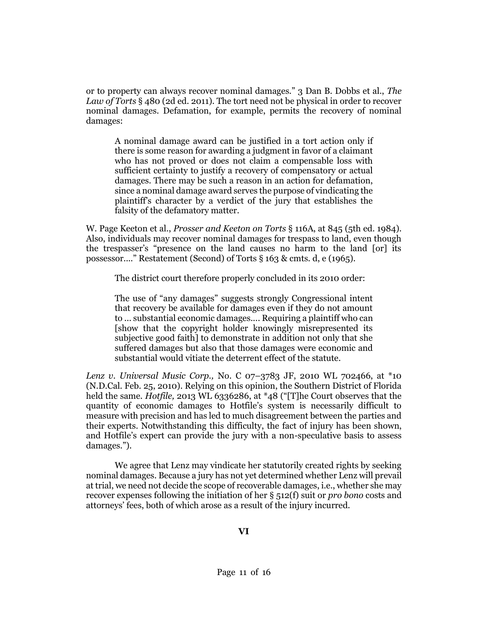or to property can always recover nominal damages." 3 Dan B. Dobbs et al., *The Law of Torts* § 480 (2d ed. 2011). The tort need not be physical in order to recover nominal damages. Defamation, for example, permits the recovery of nominal damages:

A nominal damage award can be justified in a tort action only if there is some reason for awarding a judgment in favor of a claimant who has not proved or does not claim a compensable loss with sufficient certainty to justify a recovery of compensatory or actual damages. There may be such a reason in an action for defamation, since a nominal damage award serves the purpose of vindicating the plaintiff's character by a verdict of the jury that establishes the falsity of the defamatory matter.

W. Page Keeton et al., *Prosser and Keeton on Torts* § 116A, at 845 (5th ed. 1984). Also, individuals may recover nominal damages for trespass to land, even though the trespasser's "presence on the land causes no harm to the land [or] its possessor...." [Restatement \(Second\) of Torts § 163](http://www.westlaw.com/Link/Document/FullText?findType=Y&serNum=0290693837&pubNum=0101577&originatingDoc=Ic3e300705afc11e5a795ac035416da91&refType=TS&originationContext=document&vr=3.0&rs=cblt1.0&transitionType=DocumentItem&contextData=(sc.Search)) & cmts. d, e (1965).

The district court therefore properly concluded in its 2010 order:

The use of "any damages" suggests strongly Congressional intent that recovery be available for damages even if they do not amount to ... substantial economic damages.... Requiring a plaintiff who can [show that the copyright holder knowingly misrepresented its subjective good faith] to demonstrate in addition not only that she suffered damages but also that those damages were economic and substantial would vitiate the deterrent effect of the statute.

*Lenz v. Universal Music Corp.,* No. C 07–[3783 JF, 2010 WL 702466, at \\*10](http://www.westlaw.com/Link/Document/FullText?findType=Y&serNum=2021455754&pubNum=0000999&originatingDoc=Ic3e300705afc11e5a795ac035416da91&refType=RP&originationContext=document&vr=3.0&rs=cblt1.0&transitionType=DocumentItem&contextData=(sc.Search))  [\(N.D.Cal. Feb. 25, 2010\).](http://www.westlaw.com/Link/Document/FullText?findType=Y&serNum=2021455754&pubNum=0000999&originatingDoc=Ic3e300705afc11e5a795ac035416da91&refType=RP&originationContext=document&vr=3.0&rs=cblt1.0&transitionType=DocumentItem&contextData=(sc.Search)) Relying on this opinion, the Southern District of Florida held the same. *Hotfile,* [2013 WL 6336286, at \\*48](http://www.westlaw.com/Link/Document/FullText?findType=Y&serNum=2032227103&pubNum=0000999&originatingDoc=Ic3e300705afc11e5a795ac035416da91&refType=RP&originationContext=document&vr=3.0&rs=cblt1.0&transitionType=DocumentItem&contextData=(sc.Search)) ("[T]he Court observes that the quantity of economic damages to Hotfile's system is necessarily difficult to measure with precision and has led to much disagreement between the parties and their experts. Notwithstanding this difficulty, the fact of injury has been shown, and Hotfile's expert can provide the jury with a non-speculative basis to assess damages.").

We agree that Lenz may vindicate her statutorily created rights by seeking nominal damages. Because a jury has not yet determined whether Lenz will prevail at trial, we need not decide the scope of recoverable damages, i.e., whether she may recover expenses following the initiation of her [§ 512\(f\)](http://www.westlaw.com/Link/Document/FullText?findType=L&pubNum=1000546&cite=17USCAS512&originatingDoc=Ic3e300705afc11e5a795ac035416da91&refType=RB&originationContext=document&vr=3.0&rs=cblt1.0&transitionType=DocumentItem&contextData=(sc.Search)#co_pp_ae0d0000c5150) suit or *pro bono* costs and attorneys' fees, both of which arose as a result of the injury incurred.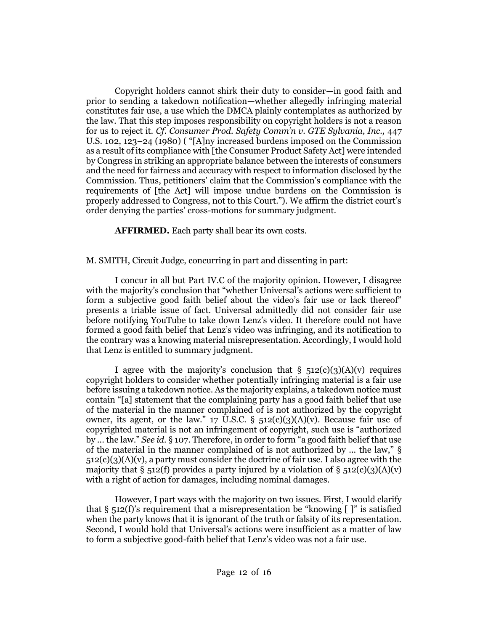Copyright holders cannot shirk their duty to consider—in good faith and prior to sending a takedown notification—whether allegedly infringing material constitutes fair use, a use which the DMCA plainly contemplates as authorized by the law. That this step imposes responsibility on copyright holders is not a reason for us to reject it. *Cf. [Consumer Prod. Safety Comm'n v. GTE Sylvania, Inc.,](http://www.westlaw.com/Link/Document/FullText?findType=Y&serNum=1980116766&pubNum=0000708&originatingDoc=Ic3e300705afc11e5a795ac035416da91&refType=RP&originationContext=document&vr=3.0&rs=cblt1.0&transitionType=DocumentItem&contextData=(sc.Search))* 447 [U.S. 102, 123](http://www.westlaw.com/Link/Document/FullText?findType=Y&serNum=1980116766&pubNum=0000708&originatingDoc=Ic3e300705afc11e5a795ac035416da91&refType=RP&originationContext=document&vr=3.0&rs=cblt1.0&transitionType=DocumentItem&contextData=(sc.Search))–24 (1980) ( "[A]ny increased burdens imposed on the Commission as a result of its compliance with [the Consumer Product Safety Act] were intended by Congress in striking an appropriate balance between the interests of consumers and the need for fairness and accuracy with respect to information disclosed by the Commission. Thus, petitioners' claim that the Commission's compliance with the requirements of [the Act] will impose undue burdens on the Commission is properly addressed to Congress, not to this Court."). We affirm the district court's order denying the parties' cross-motions for summary judgment.

**AFFIRMED.** Each party shall bear its own costs.

[M. SMITH,](http://www.westlaw.com/Link/Document/FullText?findType=h&pubNum=176284&cite=0202981201&originatingDoc=Ic3e300705afc11e5a795ac035416da91&refType=RQ&originationContext=document&vr=3.0&rs=cblt1.0&transitionType=DocumentItem&contextData=(sc.Search)) Circuit Judge, concurring in part and dissenting in part:

I concur in all but Part IV.C of the majority opinion. However, I disagree with the majority's conclusion that "whether Universal's actions were sufficient to form a subjective good faith belief about the video's fair use or lack thereof" presents a triable issue of fact. Universal admittedly did not consider fair use before notifying YouTube to take down Lenz's video. It therefore could not have formed a good faith belief that Lenz's video was infringing, and its notification to the contrary was a knowing material misrepresentation. Accordingly, I would hold that Lenz is entitled to summary judgment.

I agree with the majority's conclusion that  $\S$  512(c)(3)(A)(v) requires copyright holders to consider whether potentially infringing material is a fair use before issuing a takedown notice. As the majority explains, a takedown notice must contain "[a] statement that the complaining party has a good faith belief that use of the material in the manner complained of is not authorized by the copyright owner, its agent, or the law."  $17 \text{ U.S.C. }$  §  $512(c)(3)(A)(v)$ . Because fair use of copyrighted material is not an infringement of copyright, such use is "authorized by ... the law." *See id.* [§ 107](http://www.westlaw.com/Link/Document/FullText?findType=L&pubNum=1000546&cite=17USCAS107&originatingDoc=Ie2f62617ec9611e5b86bd602cb8781fa&refType=LQ&originationContext=document&vr=3.0&rs=cblt1.0&transitionType=DocumentItem&contextData=(sc.Search)). Therefore, in order to form "a good faith belief that use of the material in the manner complained of is not authorized by ... the law," [§](http://www.westlaw.com/Link/Document/FullText?findType=L&pubNum=1000546&cite=17USCAS512&originatingDoc=Ie2f62617ec9611e5b86bd602cb8781fa&refType=RB&originationContext=document&vr=3.0&rs=cblt1.0&transitionType=DocumentItem&contextData=(sc.Search)#co_pp_69f10000a6814)   $512(c)(3)(A)(v)$ , a party must consider the doctrine of fair use. I also agree with the majority that [§ 512\(f\)](http://www.westlaw.com/Link/Document/FullText?findType=L&pubNum=1000546&cite=17USCAS512&originatingDoc=Ie2f62617ec9611e5b86bd602cb8781fa&refType=RB&originationContext=document&vr=3.0&rs=cblt1.0&transitionType=DocumentItem&contextData=(sc.Search)#co_pp_ae0d0000c5150) provides a party injured by a violation of [§ 512\(c\)\(3\)\(A\)\(v\)](http://www.westlaw.com/Link/Document/FullText?findType=L&pubNum=1000546&cite=17USCAS512&originatingDoc=Ie2f62617ec9611e5b86bd602cb8781fa&refType=RB&originationContext=document&vr=3.0&rs=cblt1.0&transitionType=DocumentItem&contextData=(sc.Search)#co_pp_69f10000a6814) with a right of action for damages, including nominal damages.

However, I part ways with the majority on two issues. First, I would clarify that  $\S$  512(f)'s requirement that a misrepresentation be "knowing  $\lceil \cdot \rceil$ " is satisfied when the party knows that it is ignorant of the truth or falsity of its representation. Second, I would hold that Universal's actions were insufficient as a matter of law to form a subjective good-faith belief that Lenz's video was not a fair use.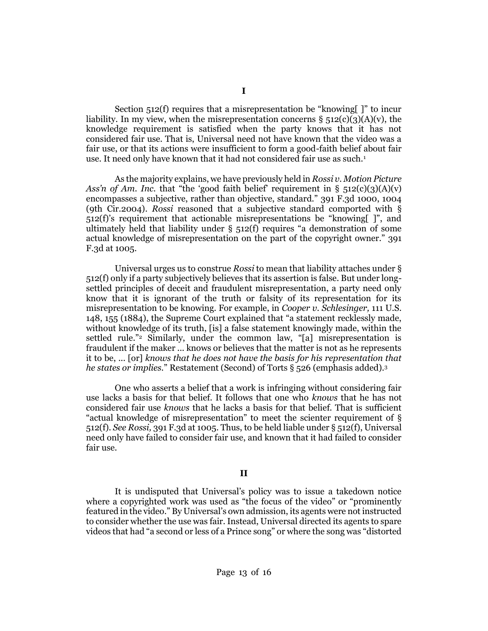[Section 512\(f\)](http://www.westlaw.com/Link/Document/FullText?findType=L&pubNum=1000546&cite=17USCAS512&originatingDoc=Ie2f62617ec9611e5b86bd602cb8781fa&refType=RB&originationContext=document&vr=3.0&rs=cblt1.0&transitionType=DocumentItem&contextData=(sc.Search)#co_pp_ae0d0000c5150) requires that a misrepresentation be "knowing. The incurliability. In my view, when the misrepresentation concerns  $\S$  512(c)(3)(A)(v), the knowledge requirement is satisfied when the party knows that it has not considered fair use. That is, Universal need not have known that the video was a fair use, or that its actions were insufficient to form a good-faith belief about fair use. It need only have known that it had not considered fair use as such.<sup>[1](#page-14-0)</sup>

As the majority explains, we have previously held in *Rossi v. Motion Picture Ass'n of Am. Inc.* that "the 'good faith belief' requirement in  $\S$  512(c)(3)(A)(v) encompasses a subjective, rather than objective, standard." [391 F.3d 1000, 1004](http://www.westlaw.com/Link/Document/FullText?findType=Y&serNum=2005639666&pubNum=0000506&originatingDoc=Ie2f62617ec9611e5b86bd602cb8781fa&refType=RP&fi=co_pp_sp_506_1004&originationContext=document&vr=3.0&rs=cblt1.0&transitionType=DocumentItem&contextData=(sc.Search)#co_pp_sp_506_1004)  [\(9th Cir.2004\).](http://www.westlaw.com/Link/Document/FullText?findType=Y&serNum=2005639666&pubNum=0000506&originatingDoc=Ie2f62617ec9611e5b86bd602cb8781fa&refType=RP&fi=co_pp_sp_506_1004&originationContext=document&vr=3.0&rs=cblt1.0&transitionType=DocumentItem&contextData=(sc.Search)#co_pp_sp_506_1004) *Rossi* reasoned that a subjective standard comported with [§](http://www.westlaw.com/Link/Document/FullText?findType=L&pubNum=1000546&cite=17USCAS512&originatingDoc=Ie2f62617ec9611e5b86bd602cb8781fa&refType=RB&originationContext=document&vr=3.0&rs=cblt1.0&transitionType=DocumentItem&contextData=(sc.Search)#co_pp_ae0d0000c5150)  [512\(f\)](http://www.westlaw.com/Link/Document/FullText?findType=L&pubNum=1000546&cite=17USCAS512&originatingDoc=Ie2f62617ec9611e5b86bd602cb8781fa&refType=RB&originationContext=document&vr=3.0&rs=cblt1.0&transitionType=DocumentItem&contextData=(sc.Search)#co_pp_ae0d0000c5150)'s requirement that actionable misrepresentations be "knowing[ ]", and ultimately held that liability under  $\S$  512(f) requires "a demonstration of some actual knowledge of misrepresentation on the part of the copyright owner." [391](http://www.westlaw.com/Link/Document/FullText?findType=Y&serNum=2005639666&pubNum=0000506&originatingDoc=Ie2f62617ec9611e5b86bd602cb8781fa&refType=RP&fi=co_pp_sp_506_1005&originationContext=document&vr=3.0&rs=cblt1.0&transitionType=DocumentItem&contextData=(sc.Search)#co_pp_sp_506_1005)  [F.3d at 1005.](http://www.westlaw.com/Link/Document/FullText?findType=Y&serNum=2005639666&pubNum=0000506&originatingDoc=Ie2f62617ec9611e5b86bd602cb8781fa&refType=RP&fi=co_pp_sp_506_1005&originationContext=document&vr=3.0&rs=cblt1.0&transitionType=DocumentItem&contextData=(sc.Search)#co_pp_sp_506_1005)

Universal urges us to construe *Rossi* to mean that liability attaches unde[r §](http://www.westlaw.com/Link/Document/FullText?findType=L&pubNum=1000546&cite=17USCAS512&originatingDoc=Ie2f62617ec9611e5b86bd602cb8781fa&refType=RB&originationContext=document&vr=3.0&rs=cblt1.0&transitionType=DocumentItem&contextData=(sc.Search)#co_pp_ae0d0000c5150)  [512\(f\)](http://www.westlaw.com/Link/Document/FullText?findType=L&pubNum=1000546&cite=17USCAS512&originatingDoc=Ie2f62617ec9611e5b86bd602cb8781fa&refType=RB&originationContext=document&vr=3.0&rs=cblt1.0&transitionType=DocumentItem&contextData=(sc.Search)#co_pp_ae0d0000c5150) only if a party subjectively believes that its assertion is false. But under longsettled principles of deceit and fraudulent misrepresentation, a party need only know that it is ignorant of the truth or falsity of its representation for its misrepresentation to be knowing. For example, in *[Cooper v. Schlesinger,](http://www.westlaw.com/Link/Document/FullText?findType=Y&serNum=1884180164&pubNum=0000708&originatingDoc=Ie2f62617ec9611e5b86bd602cb8781fa&refType=RP&originationContext=document&vr=3.0&rs=cblt1.0&transitionType=DocumentItem&contextData=(sc.Search))* 111 U.S. [148, 155 \(1884\)](http://www.westlaw.com/Link/Document/FullText?findType=Y&serNum=1884180164&pubNum=0000708&originatingDoc=Ie2f62617ec9611e5b86bd602cb8781fa&refType=RP&originationContext=document&vr=3.0&rs=cblt1.0&transitionType=DocumentItem&contextData=(sc.Search)), the Supreme Court explained that "a statement recklessly made, without knowledge of its truth, [is] a false statement knowingly made, within the settled rule."<sup>[2](#page-14-0)</sup> Similarly, under the common law, "[a] misrepresentation is fraudulent if the maker ... knows or believes that the matter is not as he represents it to be, ... [or] *knows that he does not have the basis for his representation that he states or implies.*" [Restatement \(Second\) of Torts § 526](http://www.westlaw.com/Link/Document/FullText?findType=Y&serNum=0294806461&pubNum=0101577&originatingDoc=Ie2f62617ec9611e5b86bd602cb8781fa&refType=TS&originationContext=document&vr=3.0&rs=cblt1.0&transitionType=DocumentItem&contextData=(sc.Search)) (emphasis added).[3](#page-14-0)

One who asserts a belief that a work is infringing without considering fair use lacks a basis for that belief. It follows that one who *knows* that he has not considered fair use *knows* that he lacks a basis for that belief. That is sufficient "actual knowledge of misrepresentation" to meet the scienter requirement of [§](http://www.westlaw.com/Link/Document/FullText?findType=L&pubNum=1000546&cite=17USCAS512&originatingDoc=Ie2f62617ec9611e5b86bd602cb8781fa&refType=RB&originationContext=document&vr=3.0&rs=cblt1.0&transitionType=DocumentItem&contextData=(sc.Search)#co_pp_ae0d0000c5150)  [512\(f\).](http://www.westlaw.com/Link/Document/FullText?findType=L&pubNum=1000546&cite=17USCAS512&originatingDoc=Ie2f62617ec9611e5b86bd602cb8781fa&refType=RB&originationContext=document&vr=3.0&rs=cblt1.0&transitionType=DocumentItem&contextData=(sc.Search)#co_pp_ae0d0000c5150) *See Rossi,* [391 F.3d at 1005.](http://www.westlaw.com/Link/Document/FullText?findType=Y&serNum=2005639666&pubNum=0000506&originatingDoc=Ie2f62617ec9611e5b86bd602cb8781fa&refType=RP&fi=co_pp_sp_506_1005&originationContext=document&vr=3.0&rs=cblt1.0&transitionType=DocumentItem&contextData=(sc.Search)#co_pp_sp_506_1005) Thus, to be held liable unde[r § 512\(f\),](http://www.westlaw.com/Link/Document/FullText?findType=L&pubNum=1000546&cite=17USCAS512&originatingDoc=Ie2f62617ec9611e5b86bd602cb8781fa&refType=RB&originationContext=document&vr=3.0&rs=cblt1.0&transitionType=DocumentItem&contextData=(sc.Search)#co_pp_ae0d0000c5150) Universal need only have failed to consider fair use, and known that it had failed to consider fair use.

# **II**

It is undisputed that Universal's policy was to issue a takedown notice where a copyrighted work was used as "the focus of the video" or "prominently featured in the video." By Universal's own admission, its agents were not instructed to consider whether the use was fair. Instead, Universal directed its agents to spare videos that had "a second or less of a Prince song" or where the song was "distorted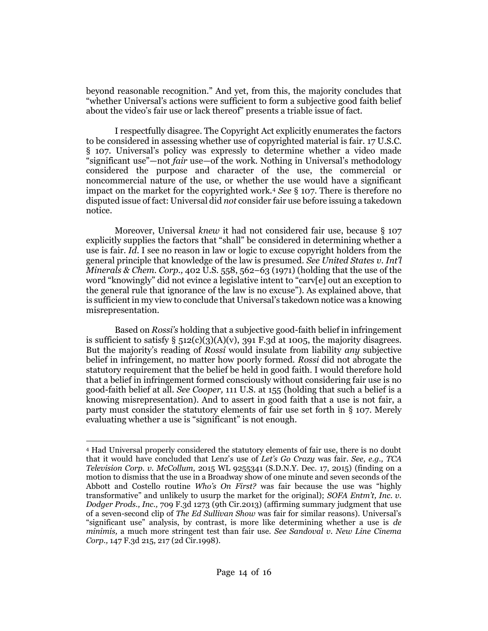beyond reasonable recognition." And yet, from this, the majority concludes that "whether Universal's actions were sufficient to form a subjective good faith belief about the video's fair use or lack thereof" presents a triable issue of fact.

I respectfully disagree. The Copyright Act explicitly enumerates the factors to be considered in assessing whether use of copyrighted material is fair. 17 U.S.C. § 107. Universal's policy was expressly to determine whether a video made "significant use"—not *fair* use—of the work. Nothing in Universal's methodology considered the purpose and character of the use, the commercial or noncommercial nature of the use, or whether the use would have a significant impact on the market for the copyrighted work.<sup>4</sup> *See* § 107. There is therefore no disputed issue of fact: Universal did *not* consider fair use before issuing a takedown notice.

Moreover, Universal *knew* it had not considered fair use, because § 107 explicitly supplies the factors that "shall" be considered in determining whether a use is fair. *Id.* I see no reason in law or logic to excuse copyright holders from the general principle that knowledge of the law is presumed. *See United States v. Int'l Minerals & Chem. Corp.,* 402 U.S. 558, 562–63 (1971) (holding that the use of the word "knowingly" did not evince a legislative intent to "carv[e] out an exception to the general rule that ignorance of the law is no excuse"). As explained above, that is sufficient in my view to conclude that Universal's takedown notice was a knowing misrepresentation.

Based on *Rossi's* holding that a subjective good-faith belief in infringement is sufficient to satisfy  $\S 512(c)(3)(A)(v)$ , 391 F.3d at 1005, the majority disagrees. But the majority's reading of *Rossi* would insulate from liability *any* subjective belief in infringement, no matter how poorly formed. *Rossi* did not abrogate the statutory requirement that the belief be held in good faith. I would therefore hold that a belief in infringement formed consciously without considering fair use is no good-faith belief at all. *See Cooper,* 111 U.S. at 155 (holding that such a belief is a knowing misrepresentation). And to assert in good faith that a use is not fair, a party must consider the statutory elements of fair use set forth in § 107. Merely evaluating whether a use is "significant" is not enough.

<sup>4</sup> Had Universal properly considered the statutory elements of fair use, there is no doubt that it would have concluded that Lenz's use of *Let's Go Crazy* was fair. *See, e.g., TCA Television Corp. v. McCollum,* 2015 WL 9255341 (S.D.N.Y. Dec. 17, 2015) (finding on a motion to dismiss that the use in a Broadway show of one minute and seven seconds of the Abbott and Costello routine *Who's On First?* was fair because the use was "highly transformative" and unlikely to usurp the market for the original); *SOFA Entm't, Inc. v. Dodger Prods., Inc.,* 709 F.3d 1273 (9th Cir.2013) (affirming summary judgment that use of a seven-second clip of *The Ed Sullivan Show* was fair for similar reasons). Universal's "significant use" analysis, by contrast, is more like determining whether a use is *de minimis,* a much more stringent test than fair use. *See Sandoval v. New Line Cinema Corp.,* 147 F.3d 215, 217 (2d Cir.1998).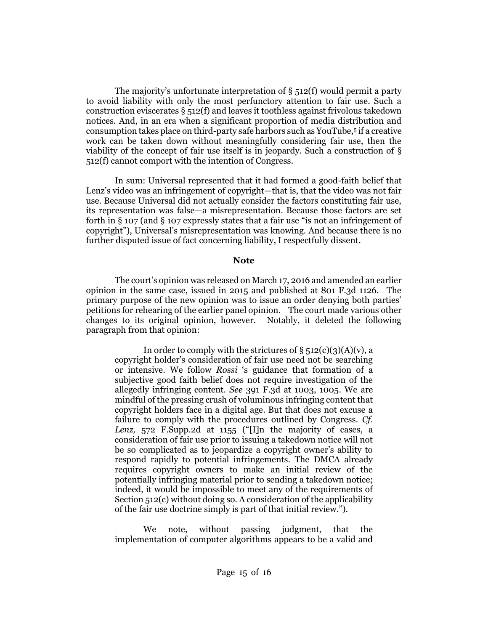The majority's unfortunate interpretation of  $\S$  512(f) would permit a party to avoid liability with only the most perfunctory attention to fair use. Such a construction eviscerates  $\S$  512(f) and leaves it toothless against frivolous takedown notices. And, in an era when a significant proportion of media distribution and consumption takes place on third-party safe harbors such as YouTube,<sup>5</sup> if a creative work can be taken down without meaningfully considering fair use, then the viability of the concept of fair use itself is in jeopardy. Such a construction of § 512(f) cannot comport with the intention of Congress.

In sum: Universal represented that it had formed a good-faith belief that Lenz's video was an infringement of copyright—that is, that the video was not fair use. Because Universal did not actually consider the factors constituting fair use, its representation was false—a misrepresentation. Because those factors are set forth in § 107 (and § 107 expressly states that a fair use "is not an infringement of copyright"), Universal's misrepresentation was knowing. And because there is no further disputed issue of fact concerning liability, I respectfully dissent*.*

## <span id="page-14-0"></span>**Note**

The court's opinion was released on March 17, 2016 and amended an earlier opinion in the same case, issued in 2015 and published at 801 F.3d 1126. The primary purpose of the new opinion was to issue an order denying both parties' petitions for rehearing of the earlier panel opinion. The court made various other changes to its original opinion, however. Notably, it deleted the following paragraph from that opinion:

In order to comply with the strictures of  $\S$  512(c)(3)(A)(v), a copyright holder's consideration of fair use need not be searching or intensive. We follow *Rossi* 's guidance that formation of a subjective good faith belief does not require investigation of the allegedly infringing content. *See* 391 F.3d at 1003, 1005. We are mindful of the pressing crush of voluminous infringing content that copyright holders face in a digital age. But that does not excuse a failure to comply with the procedures outlined by Congress. *Cf. Lenz,* 572 F.Supp.2d at 1155 ("[I]n the majority of cases, a consideration of fair use prior to issuing a takedown notice will not be so complicated as to jeopardize a copyright owner's ability to respond rapidly to potential infringements. The DMCA already requires copyright owners to make an initial review of the potentially infringing material prior to sending a takedown notice; indeed, it would be impossible to meet any of the requirements of Section 512(c) without doing so. A consideration of the applicability of the fair use doctrine simply is part of that initial review.").

We note, without passing judgment, that the implementation of computer algorithms appears to be a valid and